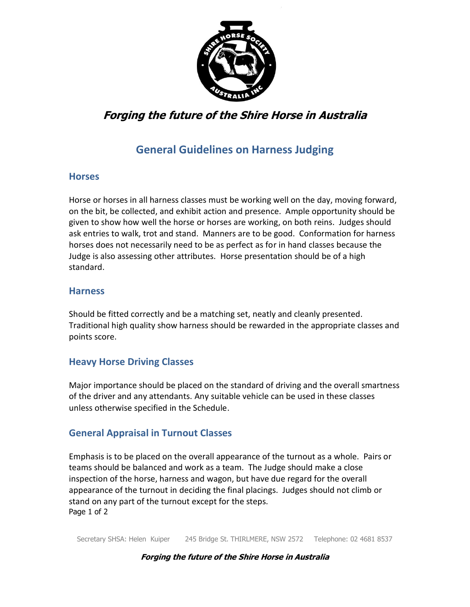

# **Forging the future of the Shire Horse in Australia**

## **General Guidelines on Harness Judging**

#### **Horses**

Horse or horses in all harness classes must be working well on the day, moving forward, on the bit, be collected, and exhibit action and presence. Ample opportunity should be given to show how well the horse or horses are working, on both reins. Judges should ask entries to walk, trot and stand. Manners are to be good. Conformation for harness horses does not necessarily need to be as perfect as for in hand classes because the Judge is also assessing other attributes. Horse presentation should be of a high standard.

#### **Harness**

Should be fitted correctly and be a matching set, neatly and cleanly presented. Traditional high quality show harness should be rewarded in the appropriate classes and points score.

## **Heavy Horse Driving Classes**

Major importance should be placed on the standard of driving and the overall smartness of the driver and any attendants. Any suitable vehicle can be used in these classes unless otherwise specified in the Schedule.

## **General Appraisal in Turnout Classes**

Page 1 of 2 Emphasis is to be placed on the overall appearance of the turnout as a whole. Pairs or teams should be balanced and work as a team. The Judge should make a close inspection of the horse, harness and wagon, but have due regard for the overall appearance of the turnout in deciding the final placings. Judges should not climb or stand on any part of the turnout except for the steps.

Secretary SHSA: Helen Kuiper 245 Bridge St. THIRLMERE, NSW 2572 Telephone: 02 4681 8537

#### **Forging the future of the Shire Horse in Australia**